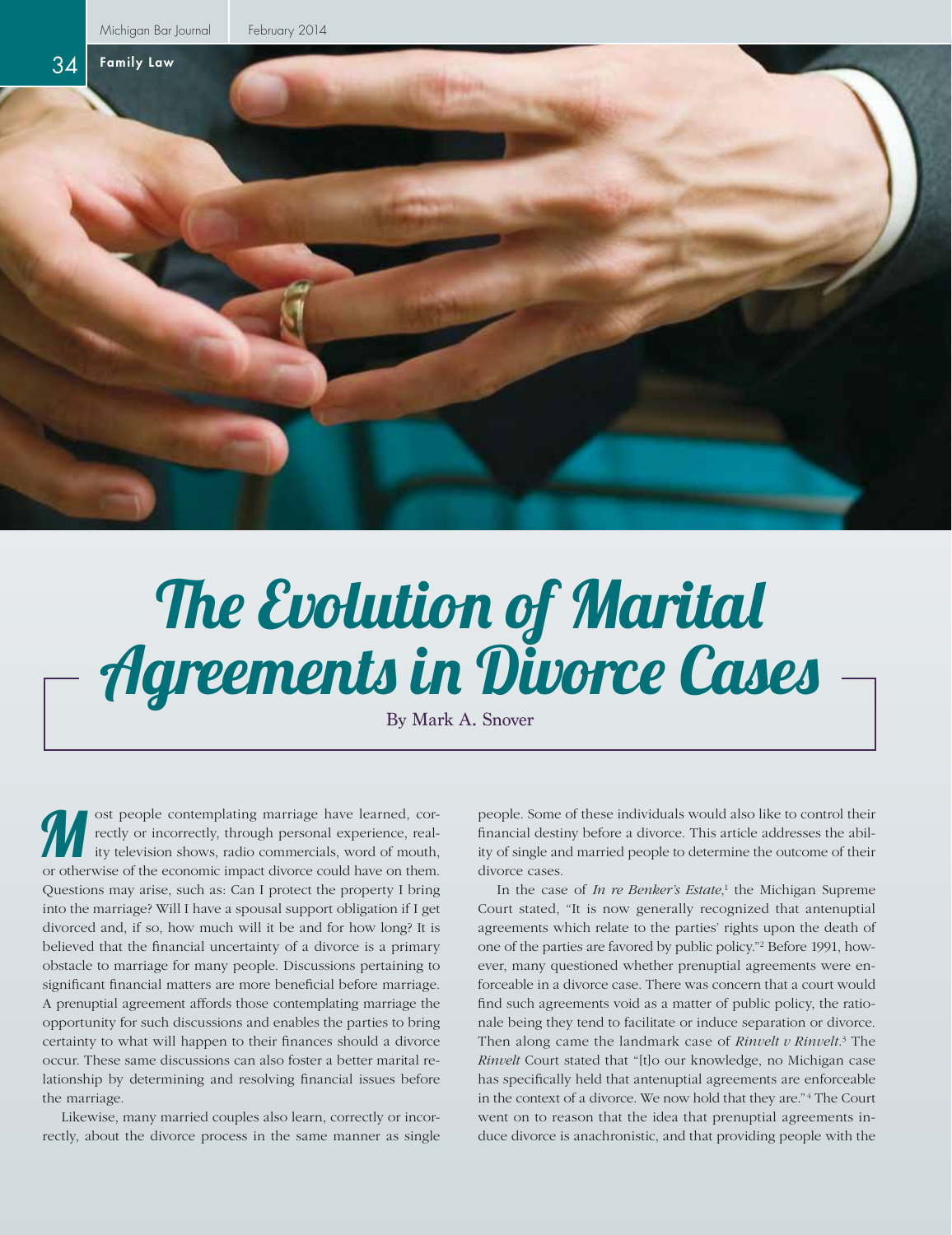

## The Evolution of Marital Agreements in Divorce Cases

By Mark A. Snover

ost people contemplating marriage have learned, correctly or incorrectly, through personal experience, reality television shows, radio commercials, word of mouth, or otherwise of the economic impact divorce could have on them. Questions may arise, such as: Can I protect the property I bring into the marriage? Will I have a spousal support obligation if I get divorced and, if so, how much will it be and for how long? It is believed that the financial uncertainty of a divorce is a primary obstacle to marriage for many people. Discussions pertaining to significant financial matters are more beneficial before marriage. A prenuptial agreement affords those contemplating marriage the opportunity for such discussions and enables the parties to bring certainty to what will happen to their finances should a divorce occur. These same discussions can also foster a better marital relationship by determining and resolving financial issues before the marriage. Some of these individuals would also like to control their<br>rectly or incorrectly, through personal experience, real-<br>ity television shows, radio commercials, word of mouth,<br>ity of single and married people to determine the

Likewise, many married couples also learn, correctly or incorrectly, about the divorce process in the same manner as single financial destiny before a divorce. This article addresses the ability of single and married people to determine the outcome of their divorce cases.

In the case of *In re Benker's Estate*,<sup>1</sup> the Michigan Supreme Court stated, "It is now generally recognized that antenuptial agreements which relate to the parties' rights upon the death of one of the parties are favored by public policy."2 Before 1991, however, many questioned whether prenuptial agreements were enforceable in a divorce case. There was concern that a court would find such agreements void as a matter of public policy, the rationale being they tend to facilitate or induce separation or divorce. Then along came the landmark case of *Rinvelt v Rinvelt*. 3 The *Rinvelt* Court stated that "[t]o our knowledge, no Michigan case has specifically held that antenuptial agreements are enforceable in the context of a divorce. We now hold that they are." <sup>4</sup> The Court went on to reason that the idea that prenuptial agreements induce divorce is anachronistic, and that providing people with the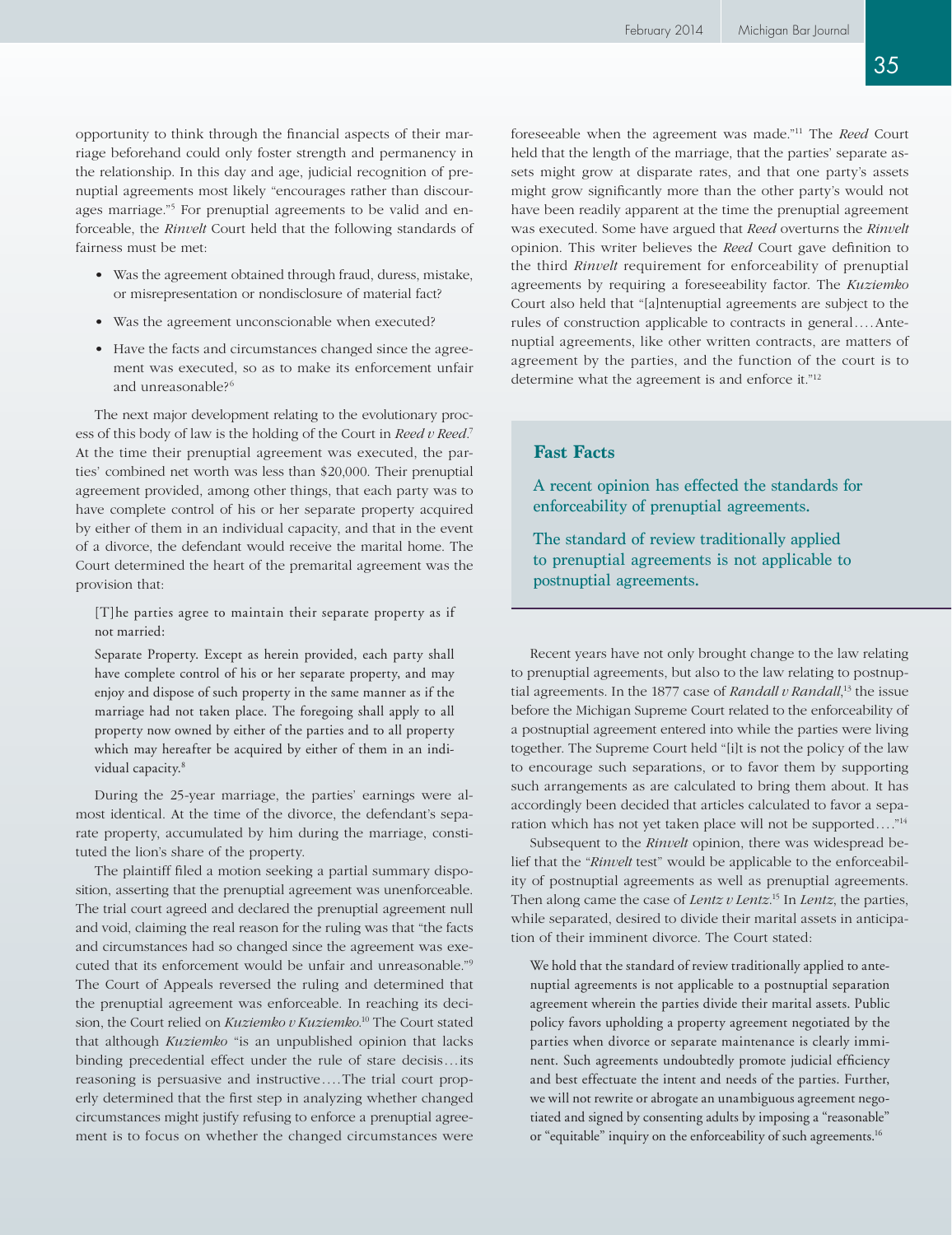opportunity to think through the financial aspects of their marriage beforehand could only foster strength and permanency in the relationship. In this day and age, judicial recognition of prenuptial agreements most likely "encourages rather than discourages marriage."5 For prenuptial agreements to be valid and enforceable, the *Rinvelt* Court held that the following standards of fairness must be met:

- Was the agreement obtained through fraud, duress, mistake, or misrepresentation or nondisclosure of material fact?
- Was the agreement unconscionable when executed?
- Have the facts and circumstances changed since the agreement was executed, so as to make its enforcement unfair and unreasonable?<sup>6</sup>

The next major development relating to the evolutionary process of this body of law is the holding of the Court in *Reed v Reed*. 7 At the time their prenuptial agreement was executed, the parties' combined net worth was less than \$20,000. Their prenuptial agreement provided, among other things, that each party was to have complete control of his or her separate property acquired by either of them in an individual capacity, and that in the event of a divorce, the defendant would receive the marital home. The Court determined the heart of the premarital agreement was the provision that:

[T]he parties agree to maintain their separate property as if not married:

Separate Property. Except as herein provided, each party shall have complete control of his or her separate property, and may enjoy and dispose of such property in the same manner as if the marriage had not taken place. The foregoing shall apply to all property now owned by either of the parties and to all property which may hereafter be acquired by either of them in an individual capacity.<sup>8</sup>

During the 25-year marriage, the parties' earnings were almost identical. At the time of the divorce, the defendant's separate property, accumulated by him during the marriage, constituted the lion's share of the property.

The plaintiff filed a motion seeking a partial summary disposition, asserting that the prenuptial agreement was unenforceable. The trial court agreed and declared the prenuptial agreement null and void, claiming the real reason for the ruling was that "the facts and circumstances had so changed since the agreement was executed that its enforcement would be unfair and unreasonable."9 The Court of Appeals reversed the ruling and determined that the prenuptial agreement was enforceable. In reaching its decision, the Court relied on *Kuziemko v Kuziemko*. 10 The Court stated that although *Kuziemko* "is an unpublished opinion that lacks binding precedential effect under the rule of stare decisis...its reasoning is persuasive and instructive....The trial court properly determined that the first step in analyzing whether changed circumstances might justify refusing to enforce a prenuptial agreement is to focus on whether the changed circumstances were

foreseeable when the agreement was made."11 The *Reed* Court held that the length of the marriage, that the parties' separate assets might grow at disparate rates, and that one party's assets might grow significantly more than the other party's would not have been readily apparent at the time the prenuptial agreement was executed. Some have argued that *Reed* overturns the *Rinvelt* opinion. This writer believes the *Reed* Court gave definition to the third *Rinvelt* requirement for enforceability of prenuptial agreements by requiring a foreseeability factor. The *Kuziemko* Court also held that "[a]ntenuptial agreements are subject to the rules of construction applicable to contracts in general....Antenuptial agreements, like other written contracts, are matters of agreement by the parties, and the function of the court is to determine what the agreement is and enforce it."12

## **Fast Facts**

A recent opinion has effected the standards for enforceability of prenuptial agreements.

The standard of review traditionally applied to prenuptial agreements is not applicable to postnuptial agreements.

Recent years have not only brought change to the law relating to prenuptial agreements, but also to the law relating to postnuptial agreements. In the 1877 case of *Randall v Randall*, 13 the issue before the Michigan Supreme Court related to the enforceability of a postnuptial agreement entered into while the parties were living together. The Supreme Court held "[i]t is not the policy of the law to encourage such separations, or to favor them by supporting such arrangements as are calculated to bring them about. It has accordingly been decided that articles calculated to favor a separation which has not yet taken place will not be supported...."14

Subsequent to the *Rinvelt* opinion, there was widespread belief that the "*Rinvelt* test" would be applicable to the enforceability of postnuptial agreements as well as prenuptial agreements. Then along came the case of *Lentz v Lentz*. 15 In *Lentz*, the parties, while separated, desired to divide their marital assets in anticipation of their imminent divorce. The Court stated:

We hold that the standard of review traditionally applied to antenuptial agreements is not applicable to a postnuptial separation agreement wherein the parties divide their marital assets. Public policy favors upholding a property agreement negotiated by the parties when divorce or separate maintenance is clearly imminent. Such agreements undoubtedly promote judicial efficiency and best effectuate the intent and needs of the parties. Further, we will not rewrite or abrogate an unambiguous agreement negotiated and signed by consenting adults by imposing a "reasonable" or "equitable" inquiry on the enforceability of such agreements.<sup>16</sup>